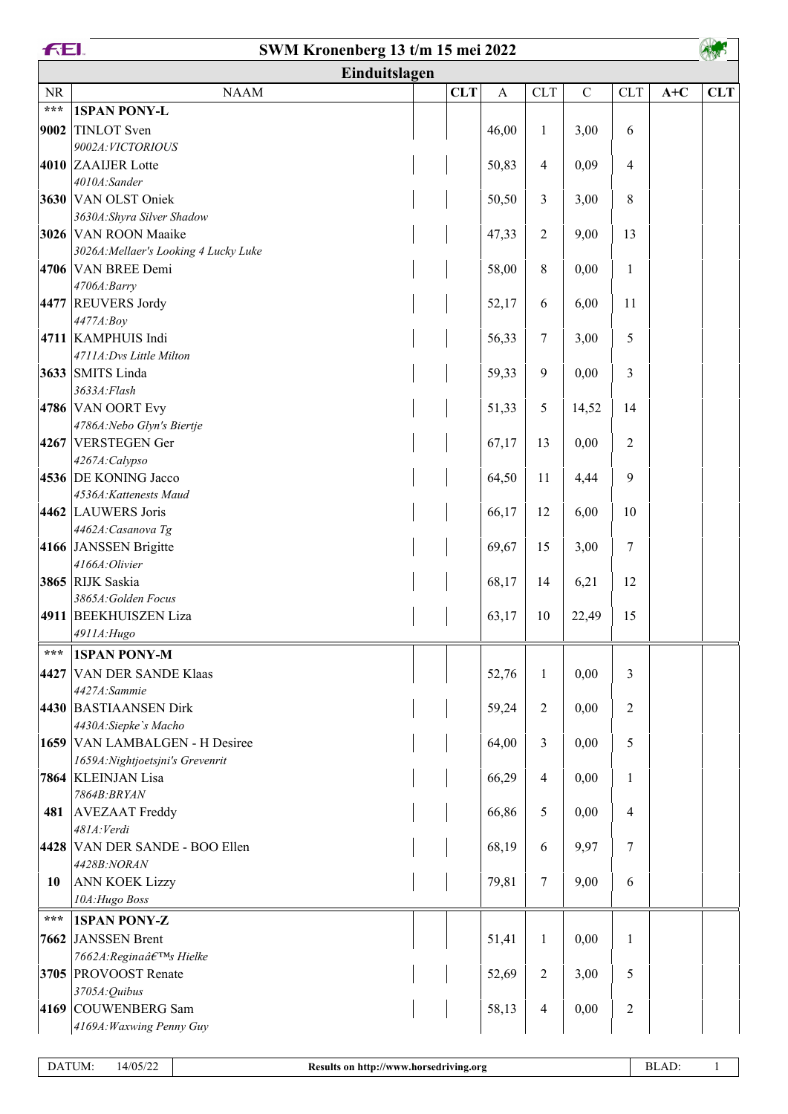|           | <b>FEI.</b><br>SWM Kronenberg 13 t/m 15 mei 2022   |               |            |                  |                  |           |                |       |            |  |
|-----------|----------------------------------------------------|---------------|------------|------------------|------------------|-----------|----------------|-------|------------|--|
|           |                                                    | Einduitslagen |            |                  |                  |           |                |       |            |  |
| <b>NR</b> | <b>NAAM</b>                                        |               | <b>CLT</b> | $\boldsymbol{A}$ | <b>CLT</b>       | ${\bf C}$ | CLT            | $A+C$ | <b>CLT</b> |  |
| $***$     | <b>1SPAN PONY-L</b>                                |               |            |                  |                  |           |                |       |            |  |
| 9002      | TINLOT Sven                                        |               |            | 46,00            | $\mathbf{1}$     | 3,00      | 6              |       |            |  |
|           | 9002A: VICTORIOUS                                  |               |            |                  |                  |           |                |       |            |  |
|           | 4010 ZAAIJER Lotte                                 |               |            | 50,83            | 4                | 0,09      | $\overline{4}$ |       |            |  |
|           | 4010A:Sander                                       |               |            |                  |                  |           |                |       |            |  |
|           | 3630 VAN OLST Oniek                                |               |            | 50,50            | 3                | 3,00      | 8              |       |            |  |
|           | 3630A: Shyra Silver Shadow<br>3026 VAN ROON Maaike |               |            | 47,33            | $\overline{c}$   | 9,00      | 13             |       |            |  |
|           | 3026A: Mellaer's Looking 4 Lucky Luke              |               |            |                  |                  |           |                |       |            |  |
|           | 4706 VAN BREE Demi                                 |               |            | 58,00            | $\,8\,$          | 0,00      | $\mathbf{1}$   |       |            |  |
|           | 4706A:Barry                                        |               |            |                  |                  |           |                |       |            |  |
|           | 4477 REUVERS Jordy                                 |               |            | 52,17            | 6                | 6,00      | 11             |       |            |  |
|           | 4477A:Boy                                          |               |            |                  |                  |           |                |       |            |  |
|           | 4711 KAMPHUIS Indi                                 |               |            | 56,33            | 7                | 3,00      | 5              |       |            |  |
|           | 4711A:Dvs Little Milton                            |               |            |                  |                  |           |                |       |            |  |
|           | 3633 SMITS Linda                                   |               |            | 59,33            | $\boldsymbol{9}$ | 0,00      | 3              |       |            |  |
|           | 3633A: Flash                                       |               |            |                  |                  |           |                |       |            |  |
|           | 4786 VAN OORT Evy                                  |               |            | 51,33            | 5                | 14,52     | 14             |       |            |  |
|           | 4786A: Nebo Glyn's Biertje<br>4267 VERSTEGEN Ger   |               |            | 67,17            | 13               | 0,00      | $\overline{2}$ |       |            |  |
|           | 4267A:Calypso                                      |               |            |                  |                  |           |                |       |            |  |
|           | 4536 DE KONING Jacco                               |               |            | 64,50            | 11               | 4,44      | 9              |       |            |  |
|           | 4536A:Kattenests Maud                              |               |            |                  |                  |           |                |       |            |  |
|           | 4462 LAUWERS Joris                                 |               |            | 66,17            | 12               | 6,00      | 10             |       |            |  |
|           | 4462A: Casanova Tg                                 |               |            |                  |                  |           |                |       |            |  |
|           | 4166 JANSSEN Brigitte                              |               |            | 69,67            | 15               | 3,00      | 7              |       |            |  |
|           | 4166A:Olivier                                      |               |            |                  |                  |           |                |       |            |  |
|           | 3865 RIJK Saskia                                   |               |            | 68,17            | 14               | 6,21      | 12             |       |            |  |
|           | 3865A: Golden Focus                                |               |            |                  |                  |           |                |       |            |  |
|           | 4911 BEEKHUISZEN Liza<br>4911A: Hugo               |               |            | 63,17            | 10               | 22,49     | 15             |       |            |  |
| ***       | <b>1SPAN PONY-M</b>                                |               |            |                  |                  |           |                |       |            |  |
|           | 4427 VAN DER SANDE Klaas                           |               |            | 52,76            |                  | 0,00      | 3              |       |            |  |
|           | 4427A:Sammie                                       |               |            |                  | 1                |           |                |       |            |  |
|           | 4430 BASTIAANSEN Dirk                              |               |            | 59,24            | $\overline{2}$   | 0,00      | $\overline{2}$ |       |            |  |
|           | 4430A:Siepke's Macho                               |               |            |                  |                  |           |                |       |            |  |
|           | 1659 VAN LAMBALGEN - H Desiree                     |               |            | 64,00            | 3                | 0,00      | 5              |       |            |  |
|           | 1659A: Nightjoetsjni's Grevenrit                   |               |            |                  |                  |           |                |       |            |  |
|           | 7864 KLEINJAN Lisa                                 |               |            | 66,29            | $\overline{4}$   | 0,00      | 1              |       |            |  |
|           | 7864B: BRYAN                                       |               |            |                  |                  |           |                |       |            |  |
| 481       | <b>AVEZAAT</b> Freddy                              |               |            | 66,86            | 5                | 0,00      | $\overline{4}$ |       |            |  |
|           | 481A: Verdi                                        |               |            |                  |                  |           | $\overline{7}$ |       |            |  |
|           | 4428 VAN DER SANDE - BOO Ellen<br>4428B:NORAN      |               |            | 68,19            | 6                | 9,97      |                |       |            |  |
| 10        | ANN KOEK Lizzy                                     |               |            | 79,81            | 7                | 9,00      | 6              |       |            |  |
|           | 10A: Hugo Boss                                     |               |            |                  |                  |           |                |       |            |  |
| ***       | <b>1SPAN PONY-Z</b>                                |               |            |                  |                  |           |                |       |            |  |
|           | 7662 JANSSEN Brent                                 |               |            | 51,41            | $\mathbf{1}$     | 0,00      | $\mathbf{1}$   |       |            |  |
|           | 7662A: Regina's Hielke                             |               |            |                  |                  |           |                |       |            |  |
|           | 3705 PROVOOST Renate                               |               |            | 52,69            | $\overline{2}$   | 3,00      | 5              |       |            |  |
|           | 3705A: Quibus                                      |               |            |                  |                  |           |                |       |            |  |
|           | 4169 COUWENBERG Sam                                |               |            | 58,13            | $\overline{4}$   | 0,00      | $\overline{2}$ |       |            |  |
|           | 4169A: Waxwing Penny Guy                           |               |            |                  |                  |           |                |       |            |  |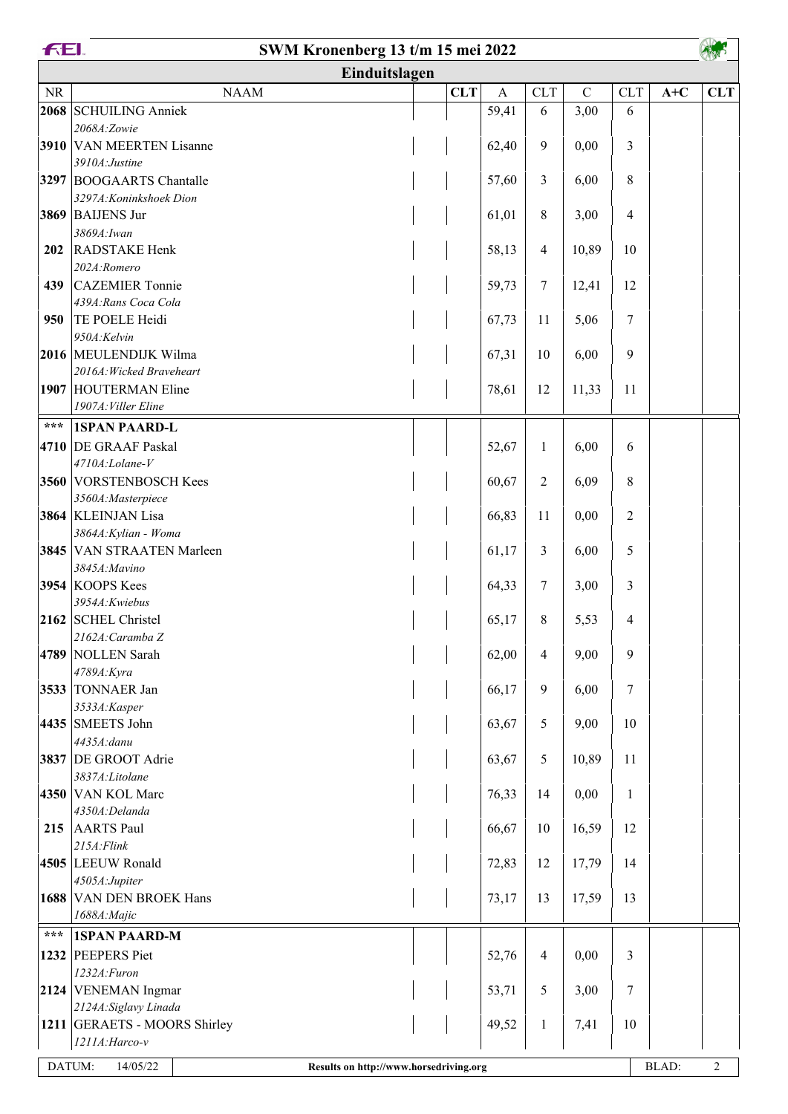|                   | <b>FEI.</b><br>SWM Kronenberg 13 t/m 15 mei 2022   |  |            |              |                |             |                |       |                |  |  |
|-------------------|----------------------------------------------------|--|------------|--------------|----------------|-------------|----------------|-------|----------------|--|--|
|                   | Einduitslagen                                      |  |            |              |                |             |                |       |                |  |  |
| $\rm NR$          | <b>NAAM</b>                                        |  | <b>CLT</b> | $\mathbf{A}$ | CLT            | $\mathbf C$ | CLT            | $A+C$ | <b>CLT</b>     |  |  |
| 2068              | <b>SCHUILING Anniek</b>                            |  |            | 59,41        | 6              | 3,00        | 6              |       |                |  |  |
|                   | 2068A:Zowie                                        |  |            |              |                |             |                |       |                |  |  |
|                   | 3910 VAN MEERTEN Lisanne<br>3910A: Justine         |  |            | 62,40        | 9              | 0,00        | 3              |       |                |  |  |
|                   | 3297 BOOGAARTS Chantalle                           |  |            | 57,60        | 3              | 6,00        | 8              |       |                |  |  |
|                   | 3297A: Koninkshoek Dion                            |  |            |              |                |             |                |       |                |  |  |
|                   | 3869 BAIJENS Jur                                   |  |            | 61,01        | $\,8\,$        | 3,00        | $\overline{4}$ |       |                |  |  |
|                   | 3869A: Iwan                                        |  |            |              |                |             |                |       |                |  |  |
| 202               | <b>RADSTAKE Henk</b>                               |  |            | 58,13        | $\overline{4}$ | 10,89       | 10             |       |                |  |  |
|                   | 202A:Romero                                        |  |            |              |                |             |                |       |                |  |  |
| 439               | <b>CAZEMIER Tonnie</b><br>439A: Rans Coca Cola     |  |            | 59,73        | $\tau$         | 12,41       | 12             |       |                |  |  |
| 950               | TE POELE Heidi                                     |  |            | 67,73        | 11             | 5,06        | 7              |       |                |  |  |
|                   | 950A:Kelvin                                        |  |            |              |                |             |                |       |                |  |  |
|                   | 2016 MEULENDIJK Wilma                              |  |            | 67,31        | 10             | 6,00        | 9              |       |                |  |  |
|                   | 2016A: Wicked Braveheart                           |  |            |              |                |             |                |       |                |  |  |
|                   | 1907 HOUTERMAN Eline                               |  |            | 78,61        | 12             | 11,33       | 11             |       |                |  |  |
|                   | 1907A: Viller Eline                                |  |            |              |                |             |                |       |                |  |  |
| $\star\star\star$ | <b>1SPAN PAARD-L</b>                               |  |            |              |                |             |                |       |                |  |  |
|                   | 4710 DE GRAAF Paskal                               |  |            | 52,67        | 1              | 6,00        | 6              |       |                |  |  |
|                   | 4710A:Lolane-V                                     |  |            |              |                |             |                |       |                |  |  |
|                   | 3560 VORSTENBOSCH Kees<br>3560A: Masterpiece       |  |            | 60,67        | $\overline{2}$ | 6,09        | 8              |       |                |  |  |
|                   | 3864 KLEINJAN Lisa                                 |  |            | 66,83        | 11             | 0,00        | $\overline{2}$ |       |                |  |  |
|                   | 3864A: Kylian - Woma                               |  |            |              |                |             |                |       |                |  |  |
|                   | 3845 VAN STRAATEN Marleen                          |  |            | 61,17        | 3              | 6,00        | 5              |       |                |  |  |
|                   | 3845A: Mavino                                      |  |            |              |                |             |                |       |                |  |  |
|                   | 3954 KOOPS Kees                                    |  |            | 64,33        | $\tau$         | 3,00        | 3              |       |                |  |  |
|                   | 3954A: Kwiebus                                     |  |            |              |                |             |                |       |                |  |  |
|                   | 2162 SCHEL Christel<br>2162A: Caramba Z            |  |            | 65,17        | 8              | 5,53        | $\overline{4}$ |       |                |  |  |
|                   | 4789 NOLLEN Sarah                                  |  |            | 62,00        | $\overline{4}$ | 9,00        | 9              |       |                |  |  |
|                   | 4789A: Kyra                                        |  |            |              |                |             |                |       |                |  |  |
|                   | 3533 TONNAER Jan                                   |  |            | 66,17        | 9              | 6,00        | $\tau$         |       |                |  |  |
|                   | 3533A:Kasper                                       |  |            |              |                |             |                |       |                |  |  |
|                   | 4435 SMEETS John                                   |  |            | 63,67        | 5              | 9,00        | 10             |       |                |  |  |
|                   | 4435A: danu                                        |  |            |              |                |             |                |       |                |  |  |
|                   | 3837 DE GROOT Adrie<br>3837A:Litolane              |  |            | 63,67        | 5              | 10,89       | 11             |       |                |  |  |
|                   | 4350 VAN KOL Marc                                  |  |            | 76,33        | 14             | 0,00        | $\mathbf{1}$   |       |                |  |  |
|                   | 4350A:Delanda                                      |  |            |              |                |             |                |       |                |  |  |
| 215               | AARTS Paul                                         |  |            | 66,67        | 10             | 16,59       | 12             |       |                |  |  |
|                   | $215A$ : Flink                                     |  |            |              |                |             |                |       |                |  |  |
|                   | 4505 LEEUW Ronald                                  |  |            | 72,83        | 12             | 17,79       | 14             |       |                |  |  |
|                   | 4505A:Jupiter                                      |  |            |              |                |             |                |       |                |  |  |
| 1688              | <b>VAN DEN BROEK Hans</b><br>1688A: Majic          |  |            | 73,17        | 13             | 17,59       | 13             |       |                |  |  |
| $***$             |                                                    |  |            |              |                |             |                |       |                |  |  |
| 1232              | <b>1SPAN PAARD-M</b><br>PEEPERS Piet               |  |            | 52,76        | $\overline{4}$ | 0,00        | 3              |       |                |  |  |
|                   | 1232A: Furon                                       |  |            |              |                |             |                |       |                |  |  |
|                   | 2124 VENEMAN Ingmar                                |  |            | 53,71        | 5              | 3,00        | 7              |       |                |  |  |
|                   | 2124A: Siglavy Linada                              |  |            |              |                |             |                |       |                |  |  |
|                   | 1211 GERAETS - MOORS Shirley                       |  |            | 49,52        | $\mathbf{1}$   | 7,41        | 10             |       |                |  |  |
|                   | 1211A: Harco-v                                     |  |            |              |                |             |                |       |                |  |  |
| DATUM:            | 14/05/22<br>Results on http://www.horsedriving.org |  |            |              |                |             |                | BLAD: | $\overline{2}$ |  |  |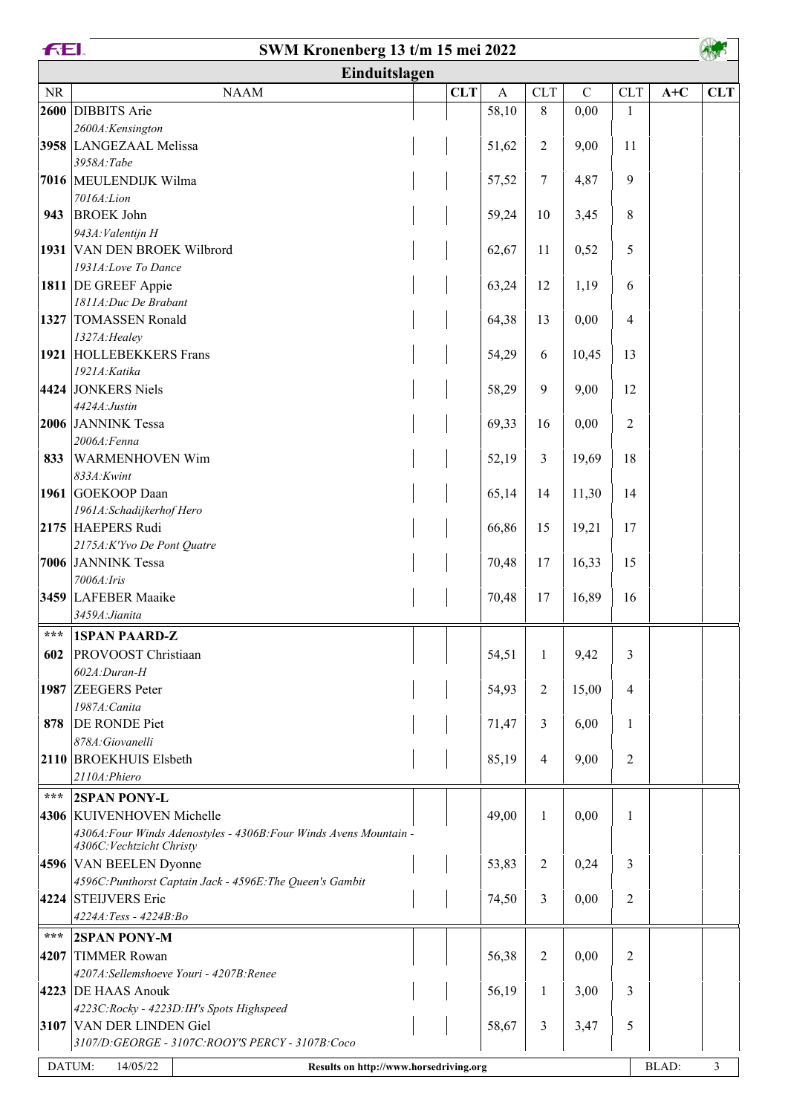| <b>FEL</b>        | SWM Kronenberg 13 t/m 15 mei 2022                                                   |            |              |              |             |                |       |            |
|-------------------|-------------------------------------------------------------------------------------|------------|--------------|--------------|-------------|----------------|-------|------------|
|                   | Einduitslagen                                                                       |            |              |              |             |                |       |            |
| <b>NR</b>         | <b>NAAM</b>                                                                         | <b>CLT</b> | $\mathbf{A}$ | <b>CLT</b>   | $\mathbf C$ | <b>CLT</b>     | $A+C$ | <b>CLT</b> |
| 2600              | DIBBITS Arie                                                                        |            | 58,10        | 8            | 0,00        | 1              |       |            |
|                   | 2600A:Kensington                                                                    |            |              |              |             |                |       |            |
|                   | 3958 LANGEZAAL Melissa                                                              |            | 51,62        | 2            | 9,00        | 11             |       |            |
|                   | 3958A:Tabe                                                                          |            |              |              |             |                |       |            |
|                   | 7016 MEULENDIJK Wilma                                                               |            | 57,52        | 7            | 4,87        | 9              |       |            |
|                   | 7016A:Lion                                                                          |            |              |              |             |                |       |            |
| 943               | <b>BROEK John</b><br>943A: Valentijn H                                              |            | 59,24        | 10           | 3,45        | 8              |       |            |
|                   | 1931 VAN DEN BROEK Wilbrord                                                         |            | 62,67        | 11           | 0,52        | 5              |       |            |
|                   | 1931A:Love To Dance                                                                 |            |              |              |             |                |       |            |
|                   | 1811 DE GREEF Appie                                                                 |            | 63,24        | 12           | 1,19        | 6              |       |            |
|                   | 1811A:Duc De Brabant                                                                |            |              |              |             |                |       |            |
|                   | 1327 TOMASSEN Ronald                                                                |            | 64,38        | 13           | 0,00        | $\overline{4}$ |       |            |
|                   | 1327A: Healey                                                                       |            |              |              |             |                |       |            |
|                   | 1921 HOLLEBEKKERS Frans                                                             |            | 54,29        | 6            | 10,45       | 13             |       |            |
|                   | 1921A: Katika                                                                       |            |              |              |             |                |       |            |
|                   | 4424 JONKERS Niels                                                                  |            | 58,29        | 9            | 9,00        | 12             |       |            |
|                   | 4424A: Justin<br>2006 JANNINK Tessa                                                 |            | 69,33        | 16           | 0,00        | $\overline{2}$ |       |            |
|                   | 2006A: Fenna                                                                        |            |              |              |             |                |       |            |
| 833               | <b>WARMENHOVEN Wim</b>                                                              |            | 52,19        | 3            | 19,69       | 18             |       |            |
|                   | 833A:Kwint                                                                          |            |              |              |             |                |       |            |
|                   | 1961 GOEKOOP Daan                                                                   |            | 65,14        | 14           | 11,30       | 14             |       |            |
|                   | 1961A: Schadijkerhof Hero                                                           |            |              |              |             |                |       |            |
|                   | 2175 HAEPERS Rudi                                                                   |            | 66,86        | 15           | 19,21       | 17             |       |            |
|                   | 2175A:K'Yvo De Pont Quatre                                                          |            |              |              |             |                |       |            |
|                   | 7006 JANNINK Tessa                                                                  |            | 70,48        | 17           | 16,33       | 15             |       |            |
|                   | 7006A: Iris                                                                         |            |              |              |             |                |       |            |
|                   | 3459 LAFEBER Maaike<br>3459A: Jianita                                               |            | 70,48        | 17           | 16,89       | 16             |       |            |
|                   |                                                                                     |            |              |              |             |                |       |            |
|                   | *** ISPAN PAARD-Z                                                                   |            |              |              |             |                |       |            |
| 602               | PROVOOST Christiaan<br>$602A: Duran-H$                                              |            | 54,51        | $\mathbf{1}$ | 9,42        | 3              |       |            |
|                   | 1987 ZEEGERS Peter                                                                  |            | 54,93        | 2            | 15,00       | $\overline{4}$ |       |            |
|                   | 1987A: Canita                                                                       |            |              |              |             |                |       |            |
| 878               | <b>DE RONDE Piet</b>                                                                |            | 71,47        | 3            | 6,00        | $\mathbf{1}$   |       |            |
|                   | 878A:Giovanelli                                                                     |            |              |              |             |                |       |            |
|                   | 2110 BROEKHUIS Elsbeth                                                              |            | 85,19        | 4            | 9,00        | $\overline{2}$ |       |            |
|                   | 2110A:Phiero                                                                        |            |              |              |             |                |       |            |
| $\star\star\star$ | <b>2SPAN PONY-L</b>                                                                 |            |              |              |             |                |       |            |
|                   | 4306 KUIVENHOVEN Michelle                                                           |            | 49,00        | $\mathbf{1}$ | 0,00        | 1              |       |            |
|                   | 4306A: Four Winds Adenostyles - 4306B: Four Winds Avens Mountain -                  |            |              |              |             |                |       |            |
|                   | 4306C: Vechtzicht Christy                                                           |            |              |              |             |                |       |            |
|                   | 4596 VAN BEELEN Dyonne<br>4596C: Punthorst Captain Jack - 4596E: The Queen's Gambit |            | 53,83        | 2            | 0,24        | 3              |       |            |
|                   | 4224 STEIJVERS Eric                                                                 |            | 74,50        | 3            | 0,00        | $\overline{2}$ |       |            |
|                   | 4224A:Tess - 4224B:Bo                                                               |            |              |              |             |                |       |            |
| ***               | <b>2SPAN PONY-M</b>                                                                 |            |              |              |             |                |       |            |
| 4207              | <b>TIMMER Rowan</b>                                                                 |            | 56,38        | 2            | 0,00        | $\overline{c}$ |       |            |
|                   | 4207A:Sellemshoeve Youri - 4207B:Renee                                              |            |              |              |             |                |       |            |
|                   | 4223 DE HAAS Anouk                                                                  |            | 56,19        | 1            | 3,00        | 3              |       |            |
|                   | 4223C:Rocky - 4223D:IH's Spots Highspeed                                            |            |              |              |             |                |       |            |
|                   | 3107 VAN DER LINDEN Giel                                                            |            | 58,67        | 3            | 3,47        | 5              |       |            |
|                   | 3107/D:GEORGE - 3107C:ROOY'S PERCY - 3107B:Coco                                     |            |              |              |             |                |       |            |
|                   | DATUM:<br>14/05/22<br>Results on http://www.horsedriving.org                        |            |              |              |             |                | BLAD: | 3          |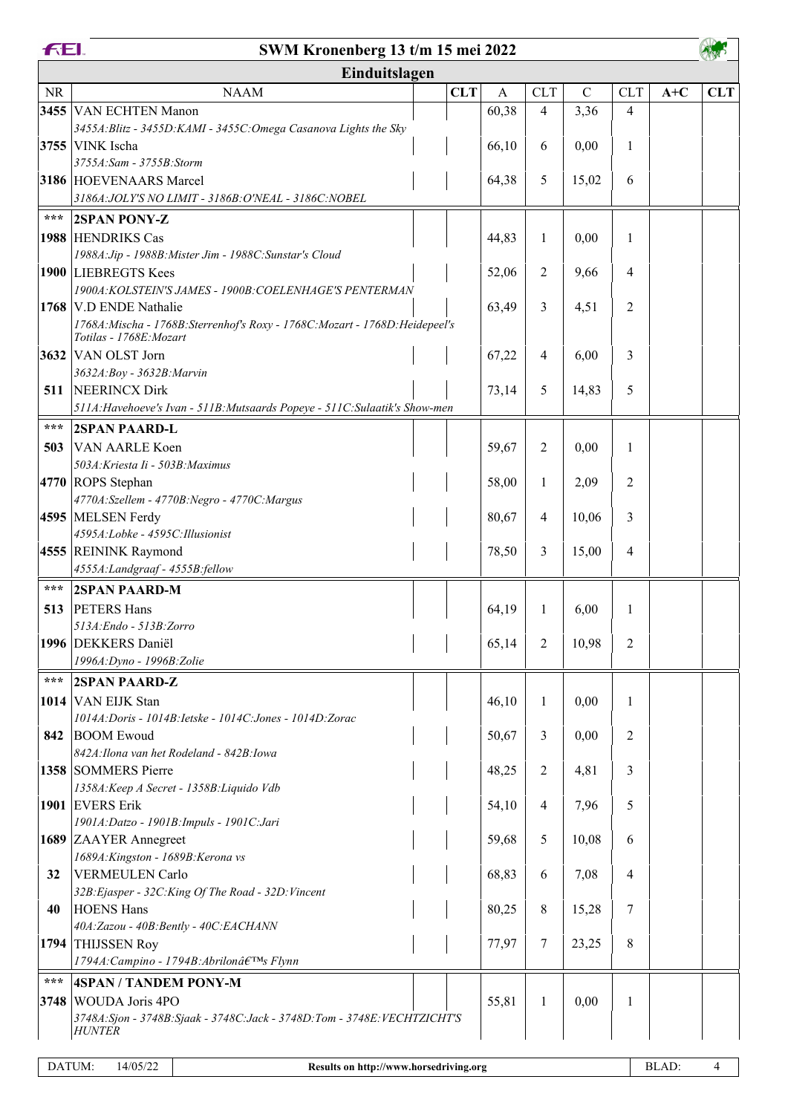|                   | <b>FEI.</b><br>SWM Kronenberg 13 t/m 15 mei 2022                                                      |            |              |                |             |                |       |            |
|-------------------|-------------------------------------------------------------------------------------------------------|------------|--------------|----------------|-------------|----------------|-------|------------|
|                   | Einduitslagen                                                                                         |            |              |                |             |                |       |            |
| <b>NR</b>         | <b>NAAM</b>                                                                                           | <b>CLT</b> | $\mathbf{A}$ | <b>CLT</b>     | $\mathbf C$ | <b>CLT</b>     | $A+C$ | <b>CLT</b> |
|                   | 3455 VAN ECHTEN Manon                                                                                 |            | 60,38        | 4              | 3,36        | 4              |       |            |
|                   | 3455A: Blitz - 3455D: KAMI - 3455C: Omega Casanova Lights the Sky                                     |            |              |                |             |                |       |            |
|                   | 3755 VINK Ischa                                                                                       |            | 66,10        | 6              | 0,00        | 1              |       |            |
|                   | 3755A:Sam - 3755B:Storm                                                                               |            |              |                |             |                |       |            |
|                   | 3186 HOEVENAARS Marcel<br>3186A: JOLY'S NO LIMIT - 3186B: O'NEAL - 3186C: NOBEL                       |            | 64,38        | 5              | 15,02       | 6              |       |            |
| $\star\star\star$ |                                                                                                       |            |              |                |             |                |       |            |
|                   | <b>2SPAN PONY-Z</b>                                                                                   |            |              |                |             |                |       |            |
|                   | 1988 HENDRIKS Cas<br>1988A: Jip - 1988B: Mister Jim - 1988C: Sunstar's Cloud                          |            | 44,83        | 1              | 0,00        | 1              |       |            |
|                   | 1900 LIEBREGTS Kees                                                                                   |            | 52,06        | 2              | 9,66        | $\overline{4}$ |       |            |
|                   | 1900A: KOLSTEIN'S JAMES - 1900B: COELENHAGE'S PENTERMAN                                               |            |              |                |             |                |       |            |
|                   | 1768 V.D ENDE Nathalie                                                                                |            | 63,49        | 3              | 4,51        | 2              |       |            |
|                   | 1768A: Mischa - 1768B: Sterrenhof's Roxy - 1768C: Mozart - 1768D: Heidepeel's                         |            |              |                |             |                |       |            |
|                   | Totilas - 1768E: Mozart                                                                               |            |              |                |             |                |       |            |
|                   | 3632 VAN OLST Jorn                                                                                    |            | 67,22        | 4              | 6,00        | 3              |       |            |
| 511               | 3632A:Boy - 3632B:Marvin<br>NEERINCX Dirk                                                             |            | 73,14        | 5              | 14,83       | 5              |       |            |
|                   | 511A: Havehoeve's Ivan - 511B: Mutsaards Popeye - 511C: Sulaatik's Show-men                           |            |              |                |             |                |       |            |
| ***               | <b>2SPAN PAARD-L</b>                                                                                  |            |              |                |             |                |       |            |
| 503               | VAN AARLE Koen                                                                                        |            | 59,67        | 2              | 0,00        | 1              |       |            |
|                   | 503A: Kriesta Ii - 503B: Maximus                                                                      |            |              |                |             |                |       |            |
|                   | 4770 ROPS Stephan                                                                                     |            | 58,00        | 1              | 2,09        | 2              |       |            |
|                   | 4770A:Szellem - 4770B:Negro - 4770C:Margus                                                            |            |              |                |             |                |       |            |
|                   | 4595 MELSEN Ferdy                                                                                     |            | 80,67        | 4              | 10,06       | 3              |       |            |
|                   | 4595A:Lobke - 4595C:Illusionist                                                                       |            |              |                |             |                |       |            |
|                   | 4555 REININK Raymond                                                                                  |            | 78,50        | 3              | 15,00       | $\overline{4}$ |       |            |
|                   | 4555A:Landgraaf - 4555B:fellow                                                                        |            |              |                |             |                |       |            |
| $***$             | <b>2SPAN PAARD-M</b>                                                                                  |            |              |                |             |                |       |            |
| 513               | <b>PETERS Hans</b><br>513A: Endo - 513B: Zorro                                                        |            | 64,19        | 1              | 6,00        | $\mathbf{1}$   |       |            |
|                   | 1996 DEKKERS Daniël                                                                                   |            | 65,14        | $\overline{2}$ | 10,98       | $\overline{2}$ |       |            |
|                   | 1996A: Dyno - 1996B: Zolie                                                                            |            |              |                |             |                |       |            |
| $***$             | <b>2SPAN PAARD-Z</b>                                                                                  |            |              |                |             |                |       |            |
|                   | 1014 VAN EIJK Stan                                                                                    |            | 46,10        | 1              | 0,00        | 1              |       |            |
|                   | 1014A: Doris - 1014B: Ietske - 1014C: Jones - 1014D: Zorac                                            |            |              |                |             |                |       |            |
| 842               | <b>BOOM</b> Ewoud                                                                                     |            | 50,67        | 3              | 0,00        | $\overline{2}$ |       |            |
|                   | 842A: Ilona van het Rodeland - 842B: Iowa                                                             |            |              |                |             |                |       |            |
|                   | 1358 SOMMERS Pierre                                                                                   |            | 48,25        | 2              | 4,81        | 3              |       |            |
|                   | 1358A: Keep A Secret - 1358B: Liquido Vdb                                                             |            |              |                |             |                |       |            |
|                   | 1901 EVERS Erik<br>1901A:Datzo - 1901B:Impuls - 1901C:Jari                                            |            | 54,10        | 4              | 7,96        | 5              |       |            |
|                   | 1689 ZAAYER Annegreet                                                                                 |            | 59,68        | 5              | 10,08       | 6              |       |            |
|                   | 1689A: Kingston - 1689B: Kerona vs                                                                    |            |              |                |             |                |       |            |
| 32                | VERMEULEN Carlo                                                                                       |            | 68,83        | 6              | 7,08        | $\overline{4}$ |       |            |
|                   | 32B: Ejasper - 32C: King Of The Road - 32D: Vincent                                                   |            |              |                |             |                |       |            |
| 40                | <b>HOENS Hans</b>                                                                                     |            | 80,25        | 8              | 15,28       | 7              |       |            |
|                   | 40A:Zazou - 40B:Bently - 40C:EACHANN                                                                  |            |              |                |             |                |       |            |
| 1794              | <b>THIJSSEN Roy</b>                                                                                   |            | 77,97        | 7              | 23,25       | $\,8\,$        |       |            |
|                   | 1794A: Campino - 1794B: Abrilonâ $\epsilon$ TMS Flynn                                                 |            |              |                |             |                |       |            |
| $***$             | <b>4SPAN / TANDEM PONY-M</b>                                                                          |            |              |                |             |                |       |            |
| 3748              | <b>WOUDA Joris 4PO</b><br>3748A: Sjon - 3748B: Sjaak - 3748C: Jack - 3748D: Tom - 3748E: VECHTZICHT'S |            | 55,81        | 1              | 0,00        | 1              |       |            |
|                   | <b>HUNTER</b>                                                                                         |            |              |                |             |                |       |            |
|                   |                                                                                                       |            |              |                |             |                |       |            |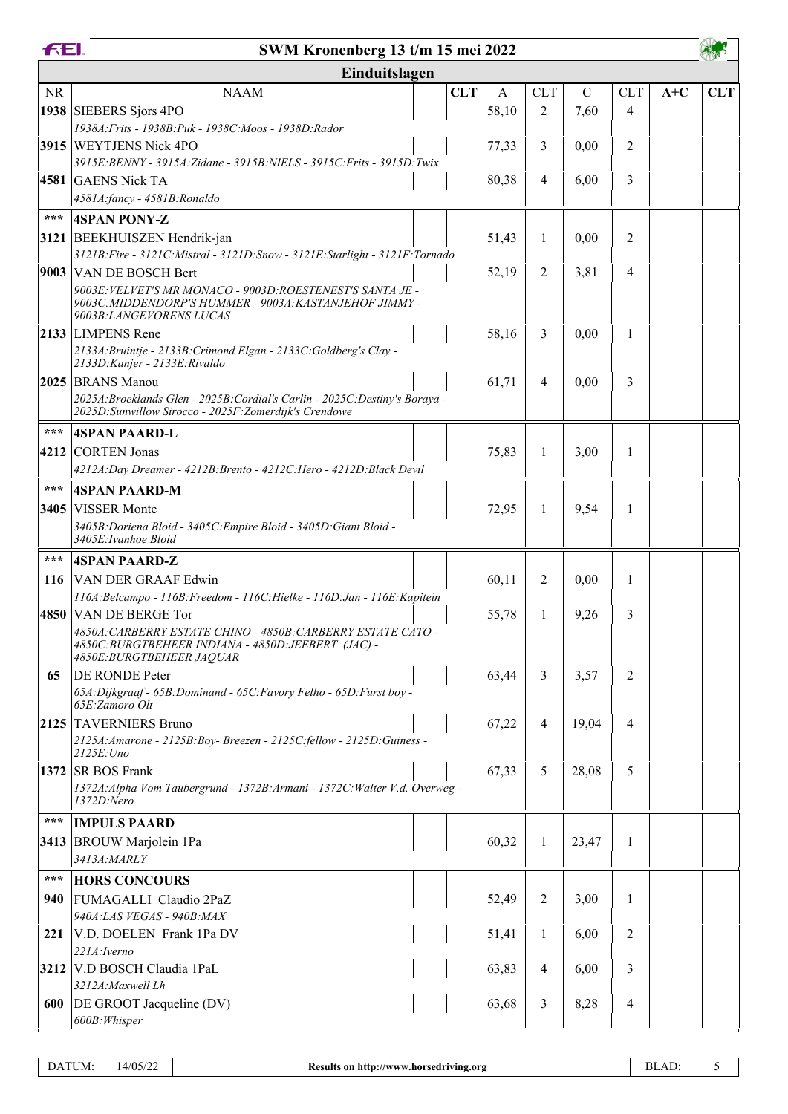**FEI.** 

## **SWM Kronenberg 13 t/m 15 mei 2022**

AW

|           | Einduitslagen                                                                                                                                    |            |              |                |             |                |       |            |  |  |  |  |
|-----------|--------------------------------------------------------------------------------------------------------------------------------------------------|------------|--------------|----------------|-------------|----------------|-------|------------|--|--|--|--|
| <b>NR</b> | <b>NAAM</b>                                                                                                                                      | <b>CLT</b> | $\mathbf{A}$ | <b>CLT</b>     | $\mathbf C$ | <b>CLT</b>     | $A+C$ | <b>CLT</b> |  |  |  |  |
|           | 1938 SIEBERS Sjors 4PO                                                                                                                           |            | 58,10        | 2              | 7,60        | $\overline{4}$ |       |            |  |  |  |  |
|           | 1938A: Frits - 1938B: Puk - 1938C: Moos - 1938D: Rador                                                                                           |            |              |                |             |                |       |            |  |  |  |  |
|           | 3915 WEYTJENS Nick 4PO                                                                                                                           |            | 77,33        | 3              | 0,00        | 2              |       |            |  |  |  |  |
|           | 3915E: BENNY - 3915A: Zidane - 3915B: NIELS - 3915C: Frits - 3915D: Twix                                                                         |            |              |                |             |                |       |            |  |  |  |  |
|           | 4581 GAENS Nick TA                                                                                                                               |            | 80,38        | $\overline{4}$ | 6,00        | 3              |       |            |  |  |  |  |
|           | 4581A:fancy - 4581B:Ronaldo                                                                                                                      |            |              |                |             |                |       |            |  |  |  |  |
| ***       | <b>4SPAN PONY-Z</b>                                                                                                                              |            |              |                |             |                |       |            |  |  |  |  |
|           | 3121 BEEKHUISZEN Hendrik-jan                                                                                                                     |            | 51,43        | 1              | 0,00        | 2              |       |            |  |  |  |  |
|           | 3121B: Fire - 3121C: Mistral - 3121D: Snow - 3121E: Starlight - 3121F: Tornado                                                                   |            |              |                |             |                |       |            |  |  |  |  |
|           | 9003 VAN DE BOSCH Bert                                                                                                                           |            | 52,19        | 2              | 3,81        | $\overline{4}$ |       |            |  |  |  |  |
|           | 9003E: VELVET'S MR MONACO - 9003D: ROESTENEST'S SANTA JE -<br>9003C: MIDDENDORP'S HUMMER - 9003A: KASTANJEHOF JIMMY -<br>9003B:LANGEVORENS LUCAS |            |              |                |             |                |       |            |  |  |  |  |
|           | 2133 LIMPENS Rene                                                                                                                                |            | 58,16        | 3              | 0,00        | 1              |       |            |  |  |  |  |
|           | 2133A: Bruintje - 2133B: Crimond Elgan - 2133C: Goldberg's Clay -                                                                                |            |              |                |             |                |       |            |  |  |  |  |
|           | 2133D: Kanjer - 2133E: Rivaldo                                                                                                                   |            |              |                |             |                |       |            |  |  |  |  |
|           | 2025 BRANS Manou<br>2025A: Broeklands Glen - 2025B: Cordial's Carlin - 2025C: Destiny's Boraya -                                                 |            | 61,71        | 4              | 0,00        | 3              |       |            |  |  |  |  |
|           | 2025D: Sunwillow Sirocco - 2025F: Zomerdijk's Crendowe                                                                                           |            |              |                |             |                |       |            |  |  |  |  |
| $***$     | <b>4SPAN PAARD-L</b>                                                                                                                             |            |              |                |             |                |       |            |  |  |  |  |
|           | 4212 CORTEN Jonas                                                                                                                                |            | 75,83        | 1              | 3,00        | 1              |       |            |  |  |  |  |
|           | 4212A: Day Dreamer - 4212B: Brento - 4212C: Hero - 4212D: Black Devil                                                                            |            |              |                |             |                |       |            |  |  |  |  |
| $***$     | <b>4SPAN PAARD-M</b>                                                                                                                             |            |              |                |             |                |       |            |  |  |  |  |
|           | 3405 VISSER Monte                                                                                                                                |            | 72,95        | 1              | 9,54        | 1              |       |            |  |  |  |  |
|           | 3405B: Doriena Bloid - 3405C: Empire Bloid - 3405D: Giant Bloid -<br>3405E: Ivanhoe Bloid                                                        |            |              |                |             |                |       |            |  |  |  |  |
| $***$     | <b>4SPAN PAARD-Z</b>                                                                                                                             |            |              |                |             |                |       |            |  |  |  |  |
| 116       | <b>VAN DER GRAAF Edwin</b>                                                                                                                       |            | 60,11        | 2              | 0,00        | 1              |       |            |  |  |  |  |
|           | 116A: Belcampo - 116B: Freedom - 116C: Hielke - 116D: Jan - 116E: Kapitein                                                                       |            |              |                |             |                |       |            |  |  |  |  |
|           | 4850 VAN DE BERGE Tor                                                                                                                            |            | 55,78        | 1              | 9,26        | 3              |       |            |  |  |  |  |
|           | 4850A: CARBERRY ESTATE CHINO - 4850B: CARBERRY ESTATE CATO -<br>4850C: BURGTBEHEER INDIANA - 4850D: JEEBERT (JAC) -<br>4850E:BURGTBEHEER JAQUAR  |            |              |                |             |                |       |            |  |  |  |  |
| 65        | <b>DE RONDE Peter</b>                                                                                                                            |            | 63,44        | 3              | 3,57        | 2              |       |            |  |  |  |  |
|           | 65A: Dijkgraaf - 65B: Dominand - 65C: Favory Felho - 65D: Furst boy -<br>65E: Zamoro Olt                                                         |            |              |                |             |                |       |            |  |  |  |  |
|           | 2125 TAVERNIERS Bruno                                                                                                                            |            | 67,22        | $\overline{4}$ | 19,04       | 4              |       |            |  |  |  |  |
|           | 2125A: Amarone - 2125B: Boy- Breezen - 2125C: fellow - 2125D: Guiness -                                                                          |            |              |                |             |                |       |            |  |  |  |  |
|           | $2125E:$ Uno                                                                                                                                     |            |              |                |             |                |       |            |  |  |  |  |
|           | 1372 $ $ SR BOS Frank                                                                                                                            |            | 67,33        | 5              | 28,08       | 5              |       |            |  |  |  |  |
|           | 1372A: Alpha Vom Taubergrund - 1372B: Armani - 1372C: Walter V.d. Overweg -<br>1372D:Nero                                                        |            |              |                |             |                |       |            |  |  |  |  |
| ***       | <b>IMPULS PAARD</b>                                                                                                                              |            |              |                |             |                |       |            |  |  |  |  |
|           | 3413 BROUW Marjolein 1Pa                                                                                                                         |            | 60,32        | 1              | 23,47       | 1              |       |            |  |  |  |  |
|           | 3413A: MARLY                                                                                                                                     |            |              |                |             |                |       |            |  |  |  |  |
| ***       | <b>HORS CONCOURS</b>                                                                                                                             |            |              |                |             |                |       |            |  |  |  |  |
| 940       | FUMAGALLI Claudio 2PaZ                                                                                                                           |            | 52,49        | 2              | 3,00        | 1              |       |            |  |  |  |  |
|           | 940A:LAS VEGAS - 940B:MAX                                                                                                                        |            |              |                |             |                |       |            |  |  |  |  |
| 221       | V.D. DOELEN Frank 1Pa DV                                                                                                                         |            | 51,41        | 1              | 6,00        | 2              |       |            |  |  |  |  |
|           | 221A: Iverno                                                                                                                                     |            |              |                |             |                |       |            |  |  |  |  |
|           | 3212 V.D BOSCH Claudia 1PaL                                                                                                                      |            | 63,83        | 4              | 6,00        | 3              |       |            |  |  |  |  |
|           | 3212A: Maxwell Lh                                                                                                                                |            |              |                |             |                |       |            |  |  |  |  |
| 600       | DE GROOT Jacqueline (DV)                                                                                                                         |            | 63,68        | 3              | 8,28        | 4              |       |            |  |  |  |  |
|           | 600B: Whisper                                                                                                                                    |            |              |                |             |                |       |            |  |  |  |  |